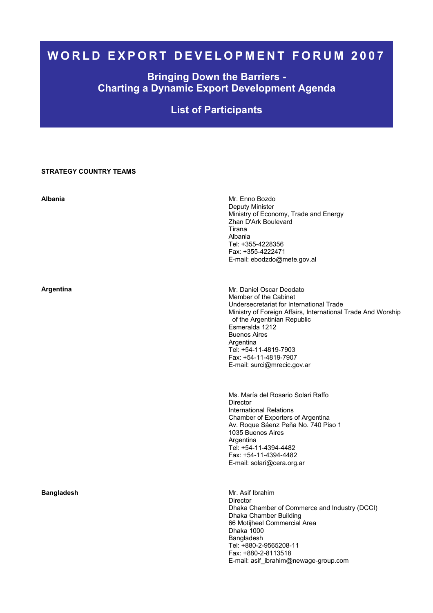# **WORLD EXPORT DEVELOPMENT FORUM 2007**

## **Bringing Down the Barriers - Charting a Dynamic Export Development Agenda**

# **List of Participants**

### **STRATEGY COUNTRY TEAMS**

| <b>Albania</b>    | Mr. Enno Bozdo<br>Deputy Minister<br>Ministry of Economy, Trade and Energy<br>Zhan D'Ark Boulevard<br>Tirana<br>Albania<br>Tel: +355-4228356<br>Fax: +355-4222471<br>E-mail: ebodzdo@mete.gov.al                                                                                                                                    |
|-------------------|-------------------------------------------------------------------------------------------------------------------------------------------------------------------------------------------------------------------------------------------------------------------------------------------------------------------------------------|
| Argentina         | Mr. Daniel Oscar Deodato<br>Member of the Cabinet<br>Undersecretariat for International Trade<br>Ministry of Foreign Affairs, International Trade And Worship<br>of the Argentinian Republic<br>Esmeralda 1212<br><b>Buenos Aires</b><br>Argentina<br>Tel: +54-11-4819-7903<br>Fax: +54-11-4819-7907<br>E-mail: surci@mrecic.gov.ar |
|                   | Ms. María del Rosario Solari Raffo<br>Director<br><b>International Relations</b><br>Chamber of Exporters of Argentina<br>Av. Roque Sáenz Peña No. 740 Piso 1<br>1035 Buenos Aires<br>Argentina<br>Tel: +54-11-4394-4482<br>Fax: +54-11-4394-4482<br>E-mail: solari@cera.org.ar                                                      |
| <b>Bangladesh</b> | Mr. Asif Ibrahim<br><b>Director</b><br>Dhaka Chamber of Commerce and Industry (DCCI)<br>Dhaka Chamber Building<br>66 Motijheel Commercial Area<br>Dhaka 1000<br>Bangladesh<br>Tel: +880-2-9565208-11<br>Fax: +880-2-8113518<br>E-mail: asif_ibrahim@newage-group.com                                                                |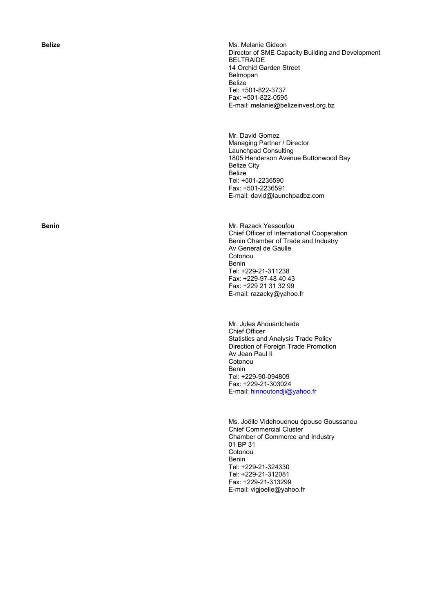**Belize Belize Ms. Melanie Gideon Ms. Melanie Gideon** Director of SME Capacity Building and Development BELTRAIDE 14 Orchid Garden Street Belmopan Belize Tel: +501-822-3737 Fax: +501-822-0595 E-mail: melanie@belizeinvest.org.bz

> Mr. David Gomez Managing Partner / Director Launchpad Consulting 1805 Henderson Avenue Buttonwood Bay Belize City Belize Tel: +501-2236590 Fax: +501-2236591 E-mail: david@launchpadbz.com

**Benin Benin Mr. Razack Yessoufou** *Mr. Razack Yessoufou* Chief Officer of International Cooperation Benin Chamber of Trade and Industry Av General de Gaulle Cotonou Benin Tel: +229-21-311238 Fax: +229-97-48 40 43 Fax: +229 21 31 32 99 E-mail: razacky@yahoo.fr

> Mr. Jules Ahouantchede Chief Officer Statistics and Analysis Trade Policy Direction of Foreign Trade Promotion Av Jean Paul II Cotonou Benin Tel: +229-90-094809 Fax: +229-21-303024 E-mail: hinnoutondji@yahoo.fr

Ms. Joëlle Videhouenou épouse Goussanou Chief Commercial Cluster Chamber of Commerce and Industry 01 BP 31 Cotonou Benin Tel: +229-21-324330 Tel: +229-21-312081 Fax: +229-21-313299 E-mail: vigjoelle@yahoo.fr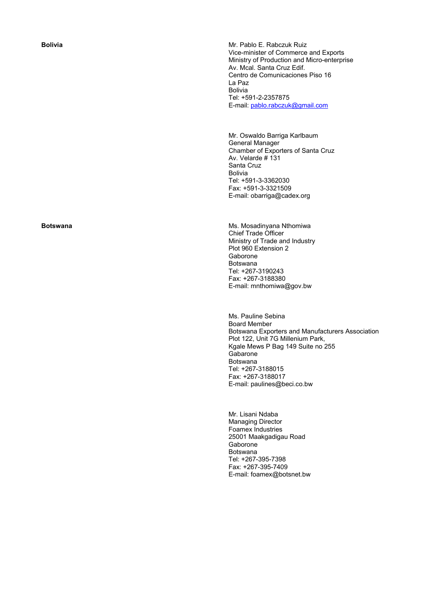**Bolivia Bolivia Bolivia Mr. Pablo E. Rabczuk Ruiz** Vice-minister of Commerce and Exports Ministry of Production and Micro-enterprise Av. Mcal. Santa Cruz Edif. Centro de Comunicaciones Piso 16 La Paz Bolivia Tel: +591-2-2357875 E-mail: pablo.rabczuk@gmail.com

> Mr. Oswaldo Barriga Karlbaum General Manager Chamber of Exporters of Santa Cruz Av. Velarde # 131 Santa Cruz Bolivia Tel: +591-3-3362030 Fax: +591-3-3321509 E-mail: obarriga@cadex.org

**Botswana Ms. Mosadinyana Nthomiwa Ms. Mosadinyana Nthomiwa** Chief Trade Officer Ministry of Trade and Industry Plot 960 Extension 2 Gaborone Botswana Tel: +267-3190243 Fax: +267-3188380 E-mail: mnthomiwa@gov.bw

> Ms. Pauline Sebina Board Member Botswana Exporters and Manufacturers Association Plot 122, Unit 7G Millenium Park, Kgale Mews P Bag 149 Suite no 255 **Gabarone** Botswana Tel: +267-3188015 Fax: +267-3188017 E-mail: paulines@beci.co.bw

Mr. Lisani Ndaba Managing Director Foamex Industries 25001 Maakgadigau Road Gaborone Botswana Tel: +267-395-7398 Fax: +267-395-7409 E-mail: foamex@botsnet.bw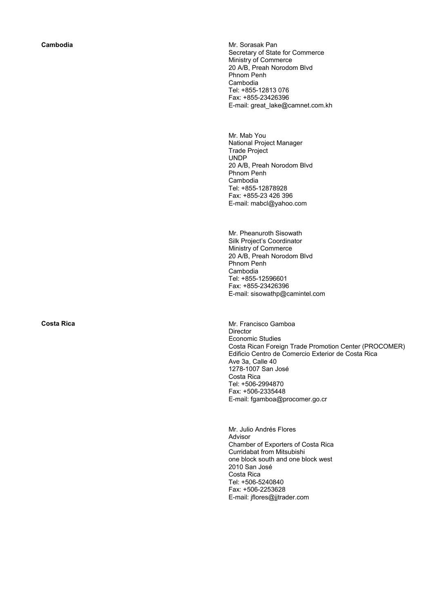**Cambodia Cambodia Mr. Sorasak Pan** Secretary of State for Commerce Ministry of Commerce 20 A/B, Preah Norodom Blvd Phnom Penh Cambodia Tel: +855-12813 076 Fax: +855-23426396 E-mail: great\_lake@camnet.com.kh

> Mr. Mab You National Project Manager Trade Project UNDP 20 A/B, Preah Norodom Blvd Phnom Penh Cambodia Tel: +855-12878928 Fax: +855-23 426 396 E-mail: mabcl@yahoo.com

Mr. Pheanuroth Sisowath Silk Project's Coordinator Ministry of Commerce 20 A/B, Preah Norodom Blvd Phnom Penh Cambodia Tel: +855-12596601 Fax: +855-23426396 E-mail: sisowathp@camintel.com

**Costa Rica Costa Rica Mr. Francisco Gamboa** Director Economic Studies Costa Rican Foreign Trade Promotion Center (PROCOMER) Edificio Centro de Comercio Exterior de Costa Rica Ave 3a, Calle 40 1278-1007 San José Costa Rica Tel: +506-2994870 Fax: +506-2335448 E-mail: fgamboa@procomer.go.cr

> Mr. Julio Andrés Flores Advisor Chamber of Exporters of Costa Rica Curridabat from Mitsubishi one block south and one block west 2010 San José Costa Rica Tel: +506-5240840 Fax: +506-2253628 E-mail: jflores@jjtrader.com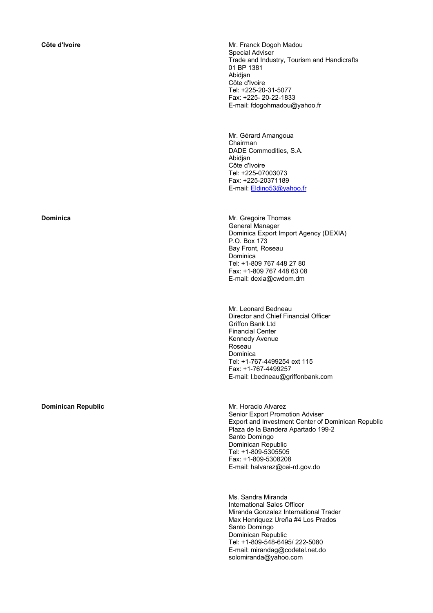**Dominican Republic**  Mr. Horacio Alvarez

**Côte d'Ivoire Mr. Franck Dogoh Madou** Special Adviser Trade and Industry, Tourism and Handicrafts 01 BP 1381 Abidjan Côte d'Ivoire Tel: +225-20-31-5077 Fax: +225- 20-22-1833 E-mail: fdogohmadou@yahoo.fr

> Mr. Gérard Amangoua Chairman DADE Commodities, S.A. Abidjan Côte d'Ivoire Tel: +225-07003073 Fax: +225-20371189 E-mail: Eldino53@yahoo.fr

**Dominica Mr.** Gregoire Thomas General Manager Dominica Export Import Agency (DEXIA) P.O. Box 173 Bay Front, Roseau Dominica Tel: +1-809 767 448 27 80 Fax: +1-809 767 448 63 08 E-mail: dexia@cwdom.dm

> Mr. Leonard Bedneau Director and Chief Financial Officer Griffon Bank Ltd Financial Center Kennedy Avenue Roseau Dominica Tel: +1-767-4499254 ext 115 Fax: +1-767-4499257 E-mail: l.bedneau@griffonbank.com

Senior Export Promotion Adviser Export and Investment Center of Dominican Republic Plaza de la Bandera Apartado 199-2 Santo Domingo Dominican Republic Tel: +1-809-5305505 Fax: +1-809-5308208 E-mail: halvarez@cei-rd.gov.do

Ms. Sandra Miranda International Sales Officer Miranda Gonzalez International Trader Max Henriquez Ureña #4 Los Prados Santo Domingo Dominican Republic Tel: +1-809-548-6495/ 222-5080 E-mail: mirandag@codetel.net.do solomiranda@yahoo.com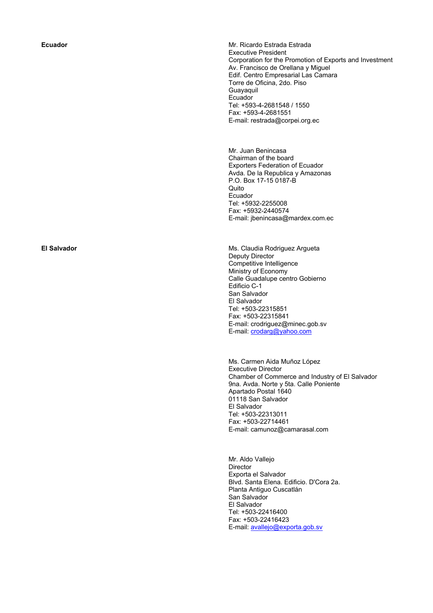**Ecuador Ecuador Ecuador Ecuador Ecuador Estrada Estrada Estrada Estrada Estrada Estrada Estrada Estrada Estrada Estrada Estrada Estrada Estrada Estrada Estrada Estrada Estrada Estrada Estrada Estrada Estrada Est** Executive President Corporation for the Promotion of Exports and Investment Av. Francisco de Orellana y Miguel Edif. Centro Empresarial Las Camara Torre de Oficina, 2do. Piso Guayaquil Ecuador Tel: +593-4-2681548 / 1550 Fax: +593-4-2681551 E-mail: restrada@corpei.org.ec

> Mr. Juan Benincasa Chairman of the board Exporters Federation of Ecuador Avda. De la Republica y Amazonas P.O. Box 17-15 0187-B Quito Ecuador Tel: +5932-2255008 Fax: +5932-2440574 E-mail: jbenincasa@mardex.com.ec

**El Salvador** Ms. Claudia Rodriguez Argueta Deputy Director Competitive Intelligence Ministry of Economy Calle Guadalupe centro Gobierno Edificio C-1 San Salvador El Salvador Tel: +503-22315851 Fax: +503-22315841 E-mail: crodriguez@minec.gob.sv E-mail: crodarg@yahoo.com

> Ms. Carmen Aida Muñoz López Executive Director Chamber of Commerce and Industry of El Salvador 9na. Avda. Norte y 5ta. Calle Poniente Apartado Postal 1640 01118 San Salvador El Salvador Tel: +503-22313011 Fax: +503-22714461 E-mail: camunoz@camarasal.com

Mr. Aldo Vallejo **Director** Exporta el Salvador Blvd. Santa Elena. Edificio. D'Cora 2a. Planta Antiguo Cuscatlán San Salvador El Salvador Tel: +503-22416400 Fax: +503-22416423 E-mail: avallejo@exporta.gob.sv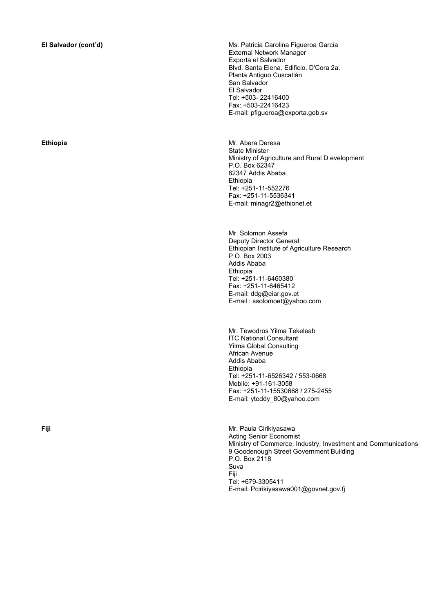**El Salvador (cont'd)** Ms. Patricia Carolina Figueroa García External Network Manager Exporta el Salvador Blvd. Santa Elena. Edificio. D'Cora 2a. Planta Antiguo Cuscatlán San Salvador El Salvador Tel: +503- 22416400 Fax: +503-22416423 E-mail: pfigueroa@exporta.gob.sv

**Ethiopia** Mr. Abera Deresa State Minister Ministry of Agriculture and Rural D evelopment P.O. Box 62347 62347 Addis Ababa Ethiopia Tel: +251-11-552276 Fax: +251-11-5536341 E-mail: minagr2@ethionet.et

> Mr. Solomon Assefa Deputy Director General Ethiopian Institute of Agriculture Research P.O. Box 2003 Addis Ababa Ethiopia Tel: +251-11-6460380 Fax: +251-11-6465412 E-mail: ddg@eiar.gov.et E-mail : ssolomoet@yahoo.com

 Mr. Tewodros Yilma Tekeleab ITC National Consultant Yilma Global Consulting African Avenue Addis Ababa Ethiopia Tel: +251-11-6526342 / 553-0668 Mobile: +91-161-3058 Fax: +251-11-15530668 / 275-2455 E-mail: yteddy\_80@yahoo.com

**Fiji** Mr. Paula Cirikiyasawa Acting Senior Economist Ministry of Commerce, Industry, Investment and Communications 9 Goodenough Street Government Building P.O. Box 2118 Suva Fiji Tel: +679-3305411 E-mail: Pcirikiyasawa001@govnet.gov.fj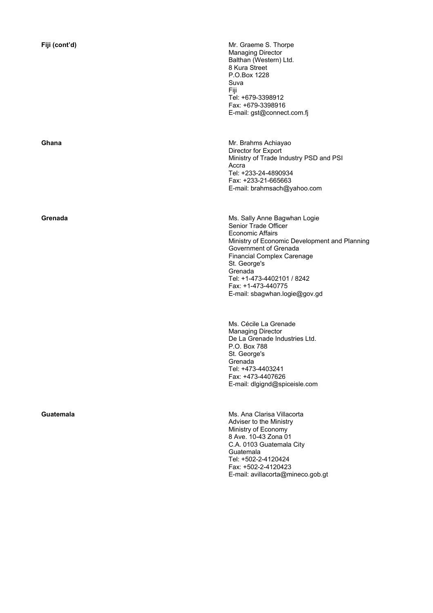**Fiji (cont'd)** Mr. Graeme S. Thorpe Managing Director Balthan (Western) Ltd. 8 Kura Street P.O.Box 1228 Suva Fiji Tel: +679-3398912 Fax: +679-3398916 E-mail: gst@connect.com.fj

**Ghana Mr. Brahms Achiayao Mr. Brahms Achiayao** Director for Export Ministry of Trade Industry PSD and PSI Accra Tel: +233-24-4890934 Fax: +233-21-665663 E-mail: brahmsach@yahoo.com

**Grenada** Ms. Sally Anne Bagwhan Logie Senior Trade Officer Economic Affairs Ministry of Economic Development and Planning Government of Grenada Financial Complex Carenage St. George's Grenada Tel: +1-473-4402101 / 8242 Fax: +1-473-440775 E-mail: sbagwhan.logie@gov.gd

> Ms. Cécile La Grenade Managing Director De La Grenade Industries Ltd. P.O. Box 788 St. George's Grenada Tel: +473-4403241 Fax: +473-4407626 E-mail: dlgignd@spiceisle.com

**Guatemala Guatemala Guatemala Ms. Ana Clarisa Villacorta** Adviser to the Ministry Ministry of Economy 8 Ave. 10-43 Zona 01 C.A. 0103 Guatemala City Guatemala Tel: +502-2-4120424 Fax: +502-2-4120423 E-mail: avillacorta@mineco.gob.gt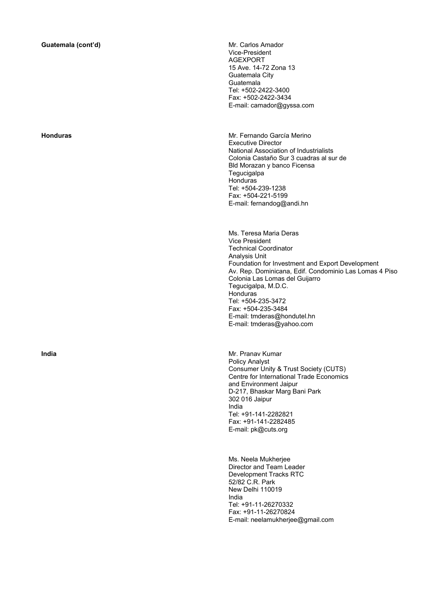Vice-President AGEXPORT 15 Ave. 14-72 Zona 13 Guatemala City Guatemala Tel: +502-2422-3400 Fax: +502-2422-3434 E-mail: camador@gyssa.com

**Honduras** Mr. Fernando García Merino Executive Director National Association of Industrialists Colonia Castaño Sur 3 cuadras al sur de Bld Morazan y banco Ficensa **Tegucigalpa** Honduras<sup>'</sup> Tel: +504-239-1238 Fax: +504-221-5199 E-mail: fernandog@andi.hn

> Ms. Teresa Maria Deras Vice President Technical Coordinator Analysis Unit Foundation for Investment and Export Development Av. Rep. Dominicana, Edif. Condominio Las Lomas 4 Piso Colonia Las Lomas del Guijarro Tegucigalpa, M.D.C. Honduras Tel: +504-235-3472 Fax: +504-235-3484 E-mail: tmderas@hondutel.hn E-mail: tmderas@yahoo.com

**India India India India India India Mr. Pranav Kumar** Policy Analyst Consumer Unity & Trust Society (CUTS) Centre for International Trade Economics and Environment Jaipur D-217, Bhaskar Marg Bani Park 302 016 Jaipur India Tel: +91-141-2282821 Fax: +91-141-2282485 E-mail: pk@cuts.org

> Ms. Neela Mukherjee Director and Team Leader Development Tracks RTC 52/82 C.R. Park New Delhi 110019 India Tel: +91-11-26270332 Fax: +91-11-26270824 E-mail: neelamukherjee@gmail.com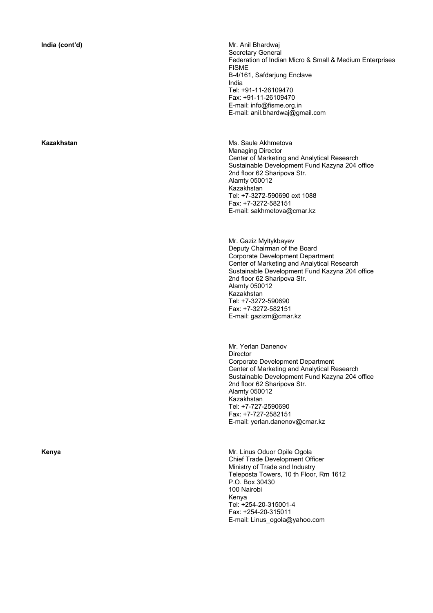**India (cont'd) Mr. Anil Bhardwai** Secretary General Federation of Indian Micro & Small & Medium Enterprises FISME B-4/161, Safdarjung Enclave India Tel: +91-11-26109470 Fax: +91-11-26109470 E-mail: info@fisme.org.in E-mail: anil.bhardwaj@gmail.com

**Kazakhstan Ms. Saule Akhmetova Ms. Saule Akhmetova** Managing Director Center of Marketing and Analytical Research Sustainable Development Fund Kazyna 204 office 2nd floor 62 Sharipova Str. Alamty 050012 Kazakhstan Tel: +7-3272-590690 ext 1088 Fax: +7-3272-582151 E-mail: sakhmetova@cmar.kz

> Mr. Gaziz Myltykbayev Deputy Chairman of the Board Corporate Development Department Center of Marketing and Analytical Research Sustainable Development Fund Kazyna 204 office 2nd floor 62 Sharipova Str. Alamty 050012 Kazakhstan Tel: +7-3272-590690 Fax: +7-3272-582151 E-mail: gazizm@cmar.kz

> Mr. Yerlan Danenov Director Corporate Development Department Center of Marketing and Analytical Research Sustainable Development Fund Kazyna 204 office 2nd floor 62 Sharipova Str. Alamty 050012 Kazakhstan Tel: +7-727-2590690 Fax: +7-727-2582151 E-mail: yerlan.danenov@cmar.kz

**Kenya Mr. Linus Oduor Opile Ogola Mr. Linus Oduor Opile Ogola** Chief Trade Development Officer Ministry of Trade and Industry Teleposta Towers, 10 th Floor, Rm 1612 P.O. Box 30430 100 Nairobi Kenya Tel: +254-20-315001-4 Fax: +254-20-315011 E-mail: Linus\_ogola@yahoo.com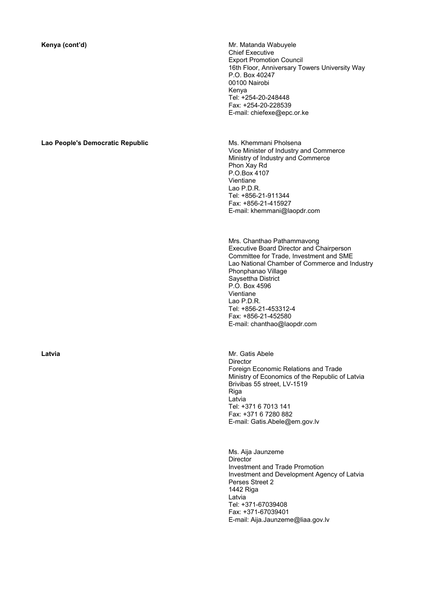### **Lao People's Democratic Republic** MS. Khemmani Pholsena

**Kenya (cont'd) Mr. Matanda Wabuyele Mr. Matanda Wabuyele** Chief Executive Export Promotion Council 16th Floor, Anniversary Towers University Way P.O. Box 40247 00100 Nairobi Kenya Tel: +254-20-248448 Fax: +254-20-228539 E-mail: chiefexe@epc.or.ke

> Vice Minister of Industry and Commerce Ministry of Industry and Commerce Phon Xay Rd P.O.Box 4107 Vientiane Lao P.D.R. Tel: +856-21-911344 Fax: +856-21-415927 E-mail: khemmani@laopdr.com

 Mrs. Chanthao Pathammavong Executive Board Director and Chairperson Committee for Trade, Investment and SME Lao National Chamber of Commerce and Industry Phonphanao Village Saysettha District P.O. Box 4596 Vientiane Lao P.D.R. Tel: +856-21-453312-4 Fax: +856-21-452580 E-mail: chanthao@laopdr.com

**Latvia Latvia Latvia Mr. Gatis Abele** Director Foreign Economic Relations and Trade Ministry of Economics of the Republic of Latvia Brivibas 55 street, LV-1519 Riga Latvia Tel: +371 6 7013 141 Fax: +371 6 7280 882 E-mail: Gatis.Abele@em.gov.lv

> Ms. Aija Jaunzeme **Director** Investment and Trade Promotion Investment and Development Agency of Latvia Perses Street 2 1442 Riga Latvia Tel: +371-67039408 Fax: +371-67039401 E-mail: Aija.Jaunzeme@liaa.gov.lv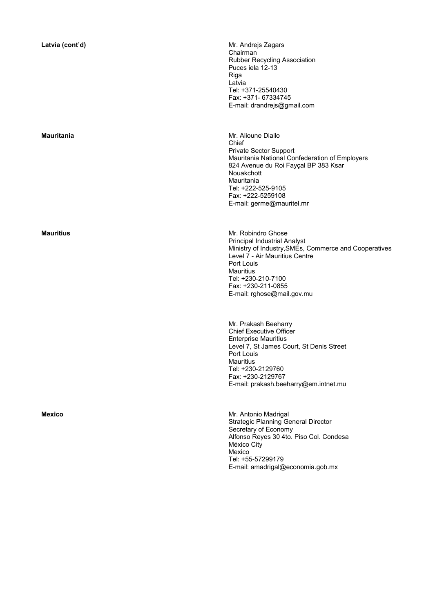Latvia (cont'd) **Latvia (context) Latvia (context) Mr.** Andrejs Zagars Chairman Rubber Recycling Association Puces iela 12-13 Riga Latvia Tel: +371-25540430 Fax: +371- 67334745 E-mail: drandrejs@gmail.com

**Mauritania** Mr. Alioune Diallo Chief Private Sector Support Mauritania National Confederation of Employers 824 Avenue du Roi Fayçal BP 383 Ksar Nouakchott Mauritania Tel: +222-525-9105 Fax: +222-5259108 E-mail: germe@mauritel.mr

**Mauritius Mauritius Mr. Robindro Ghose** Principal Industrial Analyst Ministry of Industry,SMEs, Commerce and Cooperatives Level 7 - Air Mauritius Centre Port Louis **Mauritius** Tel: +230-210-7100 Fax: +230-211-0855 E-mail: rghose@mail.gov.mu

> Mr. Prakash Beeharry Chief Executive Officer Enterprise Mauritius Level 7, St James Court, St Denis Street Port Louis **Mauritius** Tel: +230-2129760 Fax: +230-2129767 E-mail: prakash.beeharry@em.intnet.mu

**Mexico** Mr. Antonio Madrigal Strategic Planning General Director Secretary of Economy Alfonso Reyes 30 4to. Piso Col. Condesa México City Mexico Tel: +55-57299179 E-mail: amadrigal@economia.gob.mx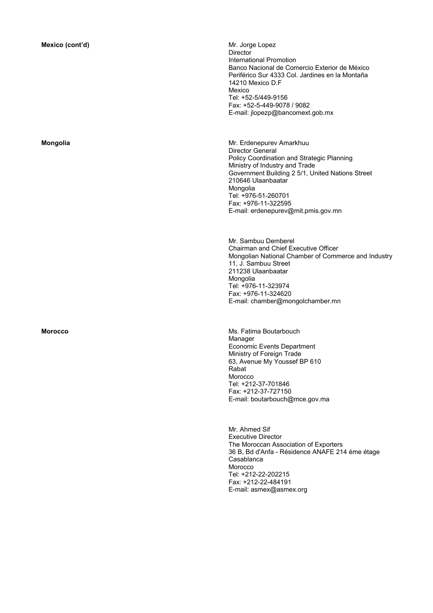Director International Promotion Banco Nacional de Comercio Exterior de México Periférico Sur 4333 Col. Jardines en la Montaña 14210 Mexico D.F Mexico Tel: +52-5/449-9156 Fax: +52-5-449-9078 / 9082 E-mail: jlopezp@bancomext.gob.mx

**Mongolia** Mr. Erdenepurev Amarkhuu Director General Policy Coordination and Strategic Planning Ministry of Industry and Trade Government Building 2 5/1, United Nations Street 210646 Ulaanbaatar Mongolia Tel: +976-51-260701 Fax: +976-11-322595 E-mail: erdenepurev@mit.pmis.gov.mn

> Mr. Sambuu Demberel Chairman and Chief Executive Officer Mongolian National Chamber of Commerce and Industry 11, J. Sambuu Street 211238 Ulaanbaatar Mongolia Tel: +976-11-323974 Fax: +976-11-324620 E-mail: chamber@mongolchamber.mn

**Morocco Morocco Ms. Fatima Boutarbouch Ms.** Fatima Boutarbouch Manager Economic Events Department Ministry of Foreign Trade 63, Avenue My Youssef BP 610 Rabat Morocco Tel: +212-37-701846 Fax: +212-37-727150 E-mail: boutarbouch@mce.gov.ma

> Mr. Ahmed Sif Executive Director The Moroccan Association of Exporters 36 B, Bd d'Anfa - Résidence ANAFE 214 éme étage Casablanca Morocco Tel: +212-22-202215 Fax: +212-22-484191 E-mail: asmex@asmex.org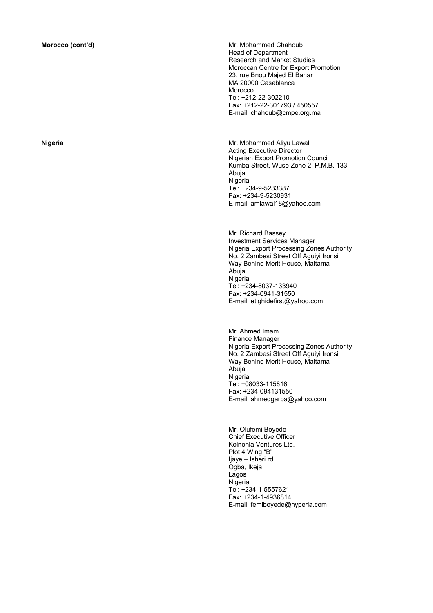**Morocco (cont'd) Mr. Mohammed Chahoub Mr. Mohammed Chahoub** Head of Department Research and Market Studies Moroccan Centre for Export Promotion 23, rue Bnou Majed El Bahar MA 20000 Casablanca Morocco Tel: +212-22-302210 Fax: +212-22-301793 / 450557 E-mail: chahoub@cmpe.org.ma

**Nigeria Mr. Mohammed Aliyu Lawal** Acting Executive Director Nigerian Export Promotion Council Kumba Street, Wuse Zone 2 P.M.B. 133 Abuja Nigeria Tel: +234-9-5233387 Fax: +234-9-5230931 E-mail: amlawal18@yahoo.com

> Mr. Richard Bassey Investment Services Manager Nigeria Export Processing Zones Authority No. 2 Zambesi Street Off Aguiyi Ironsi Way Behind Merit House, Maitama Abuja Nigeria Tel: +234-8037-133940 Fax: +234-0941-31550 E-mail: etighidefirst@yahoo.com

> Mr. Ahmed Imam Finance Manager Nigeria Export Processing Zones Authority No. 2 Zambesi Street Off Aguiyi Ironsi Way Behind Merit House, Maitama Abuja Nigeria Tel: +08033-115816 Fax: +234-094131550 E-mail: ahmedgarba@yahoo.com

 Mr. Olufemi Boyede Chief Executive Officer Koinonia Ventures Ltd. Plot 4 Wing "B" Ijaye – Isheri rd. Ogba, Ikeja Lagos Nigeria Tel: +234-1-5557621 Fax: +234-1-4936814 E-mail: femiboyede@hyperia.com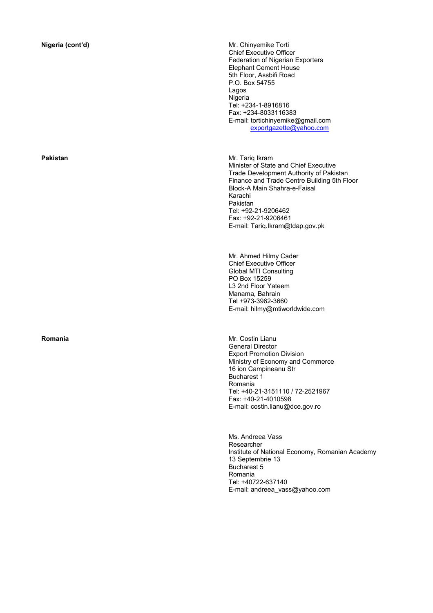**Nigeria (cont'd) Mr. Chinyemike Torti Mr. Chinyemike Torti Mr.** Chinyemike Torti Chief Executive Officer Federation of Nigerian Exporters Elephant Cement House 5th Floor, Assbifi Road P.O. Box 54755 Lagos Nigeria Tel: +234-1-8916816 Fax: +234-8033116383 E-mail: tortichinyemike@gmail.com exportgazette@yahoo.com

**Pakistan** Mr. Tariq Ikram Minister of State and Chief Executive Trade Development Authority of Pakistan Finance and Trade Centre Building 5th Floor Block-A Main Shahra-e-Faisal Karachi Pakistan Tel: +92-21-9206462 Fax: +92-21-9206461 E-mail: Tariq.Ikram@tdap.gov.pk

> Mr. Ahmed Hilmy Cader Chief Executive Officer Global MTI Consulting PO Box 15259 L3 2nd Floor Yateem Manama, Bahrain Tel +973-3962-3660 E-mail: hilmy@mtiworldwide.com

**Romania Mr. Costin Lianu** General Director Export Promotion Division Ministry of Economy and Commerce 16 ion Campineanu Str Bucharest 1 Romania Tel: +40-21-3151110 / 72-2521967 Fax: +40-21-4010598 E-mail: costin.lianu@dce.gov.ro

> Ms. Andreea Vass Researcher Institute of National Economy, Romanian Academy 13 Septembrie 13 Bucharest 5 Romania Tel: +40722-637140 E-mail: andreea\_vass@yahoo.com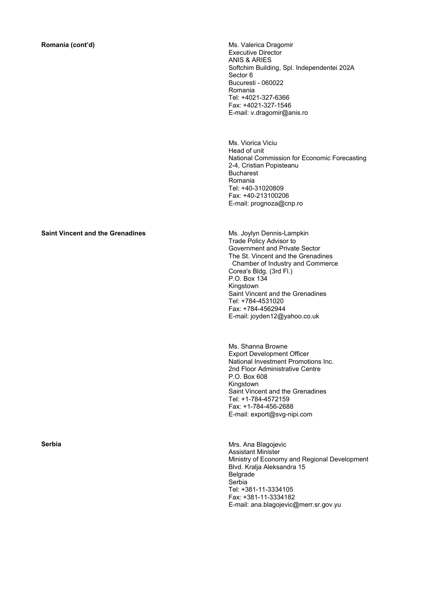**Romania (cont'd) Ms. Valerica Dragomir Ms. Valerica Dragomir** Executive Director ANIS & ARIES Softchim Building, Spl. Independentei 202A Sector 6 Bucuresti - 060022 Romania Tel: +4021-327-6366 Fax: +4021-327-1546 E-mail: v.dragomir@anis.ro

> Ms. Viorica Viciu Head of unit National Commission for Economic Forecasting 2-4, Cristian Popisteanu Bucharest Romania Tel: +40-31020809 Fax: +40-213100206 E-mail: prognoza@cnp.ro

### **Saint Vincent and the Grenadines MS. Joylyn Dennis-Lampkin**

Trade Policy Advisor to Government and Private Sector The St. Vincent and the Grenadines Chamber of Industry and Commerce Corea's Bldg. (3rd Fl.) P.O. Box 134 Kingstown Saint Vincent and the Grenadines Tel: +784-4531020 Fax: +784-4562944 E-mail: joyden12@yahoo.co.uk

Ms. Shanna Browne Export Development Officer National Investment Promotions Inc. 2nd Floor Administrative Centre P.O. Box 608 Kingstown Saint Vincent and the Grenadines Tel: +1-784-4572159 Fax: +1-784-456-2688 E-mail: export@svg-nipi.com

**Serbia Mrs.** Ana Blagojevic Assistant Minister Ministry of Economy and Regional Development Blvd. Kralja Aleksandra 15 Belgrade Serbia Tel: +381-11-3334105 Fax: +381-11-3334182 E-mail: ana.blagojevic@merr.sr.gov.yu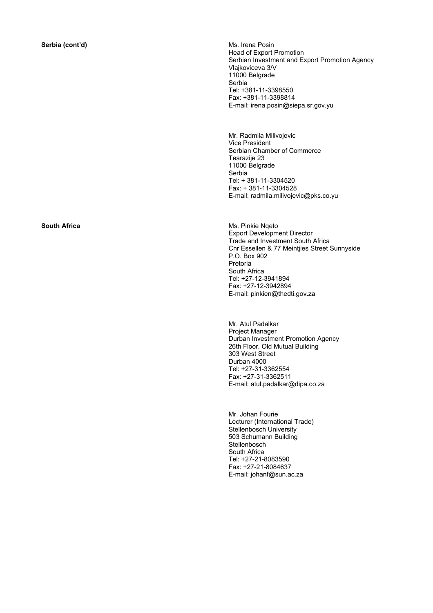**Serbia (cont'd) Ms. Irena Posin** Head of Export Promotion Serbian Investment and Export Promotion Agency Vlajkoviceva 3/V 11000 Belgrade Serbia Tel: +381-11-3398550 Fax: +381-11-3398814 E-mail: irena.posin@siepa.sr.gov.yu

> Mr. Radmila Milivojevic Vice President Serbian Chamber of Commerce Tearazije 23 11000 Belgrade Serbia Tel: + 381-11-3304520 Fax: + 381-11-3304528 E-mail: radmila.milivojevic@pks.co.yu

**South Africa Ms. Pinkie Nqeto Ms. Pinkie Nqeto** Export Development Director Trade and Investment South Africa Cnr Essellen & 77 Meintjies Street Sunnyside P.O. Box 902 Pretoria South Africa Tel: +27-12-3941894 Fax: +27-12-3942894 E-mail: pinkien@thedti.gov.za

> Mr. Atul Padalkar Project Manager Durban Investment Promotion Agency 26th Floor, Old Mutual Building 303 West Street Durban 4000 Tel: +27-31-3362554 Fax: +27-31-3362511 E-mail: atul.padalkar@dipa.co.za

Mr. Johan Fourie Lecturer (International Trade) Stellenbosch University 503 Schumann Building **Stellenbosch** South Africa Tel: +27-21-8083590 Fax: +27-21-8084637 E-mail: johanf@sun.ac.za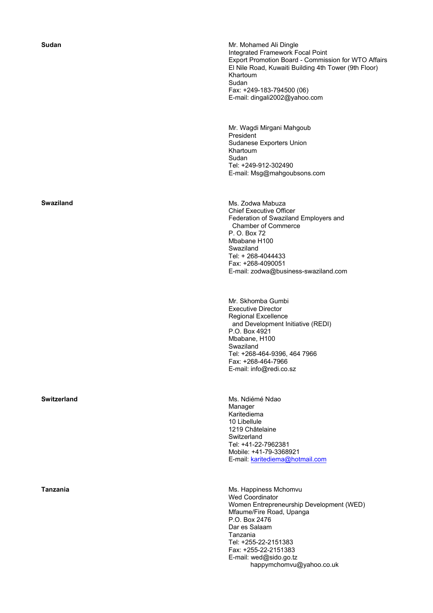**Sudan Sudan** Mr. Mohamed Ali Dingle Integrated Framework Focal Point Export Promotion Board - Commission for WTO Affairs El Nile Road, Kuwaiti Building 4th Tower (9th Floor) Khartoum Sudan Fax: +249-183-794500 (06) E-mail: dingali2002@yahoo.com

> Mr. Wagdi Mirgani Mahgoub President Sudanese Exporters Union Khartoum Sudan Tel: +249-912-302490 E-mail: Msg@mahgoubsons.com

**Swaziland** Ms. Zodwa Mabuza Chief Executive Officer Federation of Swaziland Employers and Chamber of Commerce P. O. Box 72 Mbabane H100 Swaziland Tel: + 268-4044433 Fax: +268-4090051 E-mail: zodwa@business-swaziland.com

> Mr. Skhomba Gumbi Executive Director Regional Excellence and Development Initiative (REDI) P.O. Box 4921 Mbabane, H100 Swaziland Tel: +268-464-9396, 464 7966 Fax: +268-464-7966 E-mail: info@redi.co.sz

**Switzerland Ms. Ndiémé Ndao** Manager Karitediema 10 Libellule 1219 Châtelaine **Switzerland** Tel: +41-22-7962381 Mobile: +41-79-3368921 E-mail: karitediema@hotmail.com

**Tanzania Ms. Happiness Mchomvu** Wed Coordinator Women Entrepreneurship Development (WED) Mfaume/Fire Road, Upanga P.O. Box 2476 Dar es Salaam Tanzania Tel: +255-22-2151383 Fax: +255-22-2151383 E-mail: wed@sido.go.tz happymchomvu@yahoo.co.uk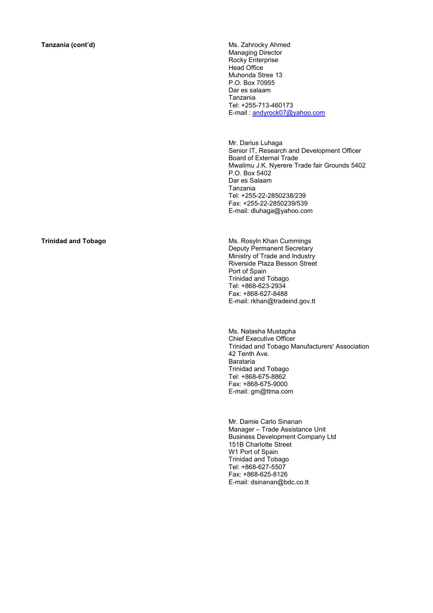**Tanzania (cont'd)** Ms. Zahrocky Ahmed Managing Director Rocky Enterprise Head Office Muhonda Stree 13 P.O. Box 70955 Dar es salaam Tanzania Tel: +255-713-460173 E-mail : andyrock07@yahoo.com

> Mr. Darius Luhaga Senior IT, Research and Development Officer Board of External Trade Mwalimu J.K. Nyerere Trade fair Grounds 5402 P.O. Box 5402 Dar es Salaam Tanzania Tel: +255-22-2850238/239 Fax: +255-22-2850239/539 E-mail: dluhaga@yahoo.com

**Trinidad and Tobago <b>Access** 2008 Ms. Rosyln Khan Cummings Deputy Permanent Secretary Ministry of Trade and Industry Riverside Plaza Besson Street Port of Spain Trinidad and Tobago Tel: +868-623-2934 Fax: +868-627-8488 E-mail: rkhan@tradeind.gov.tt

> Ms. Natasha Mustapha Chief Executive Officer Trinidad and Tobago Manufacturers' Association 42 Tenth Ave. Barataria Trinidad and Tobago Tel: +868-675-8862 Fax: +868-675-9000 E-mail: gm@ttma.com

Mr. Damie Carlo Sinanan Manager – Trade Assistance Unit Business Development Company Ltd 151B Charlotte Street W1 Port of Spain Trinidad and Tobago Tel: +868-627-5507 Fax: +868-625-8126 E-mail: dsinanan@bdc.co.tt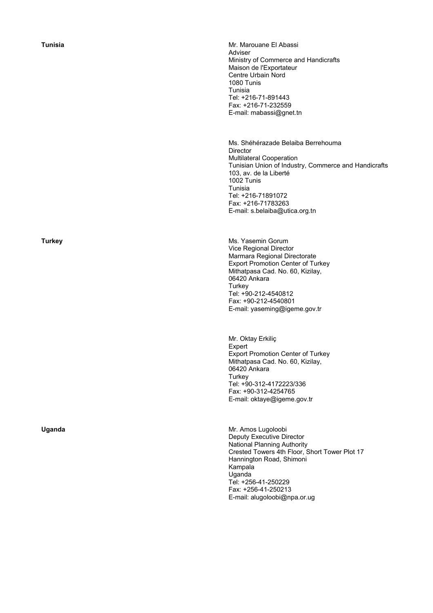**Tunisia Mr. Marouane El Abassi** Adviser Ministry of Commerce and Handicrafts Maison de l'Exportateur Centre Urbain Nord 1080 Tunis Tunisia Tel: +216-71-891443 Fax: +216-71-232559 E-mail: mabassi@gnet.tn

> Ms. Shéhérazade Belaiba Berrehouma **Director** Multilateral Cooperation Tunisian Union of Industry, Commerce and Handicrafts 103, av. de la Liberté 1002 Tunis Tunisia Tel: +216-71891072 Fax: +216-71783263 E-mail: s.belaiba@utica.org.tn

**Turkey Ms. Yasemin Gorum** Vice Regional Director Marmara Regional Directorate Export Promotion Center of Turkey Mithatpasa Cad. No. 60, Kizilay, 06420 Ankara **Turkey** Tel: +90-212-4540812 Fax: +90-212-4540801 E-mail: yaseming@igeme.gov.tr

> Mr. Oktay Erkiliç Expert Export Promotion Center of Turkey Mithatpasa Cad. No. 60, Kizilay, 06420 Ankara **Turkey** Tel: +90-312-4172223/336 Fax: +90-312-4254765 E-mail: oktaye@igeme.gov.tr

**Uganda** Mr. Amos Lugoloobi Deputy Executive Director National Planning Authority Crested Towers 4th Floor, Short Tower Plot 17 Hannington Road, Shimoni Kampala Uganda Tel: +256-41-250229 Fax: +256-41-250213 E-mail: alugoloobi@npa.or.ug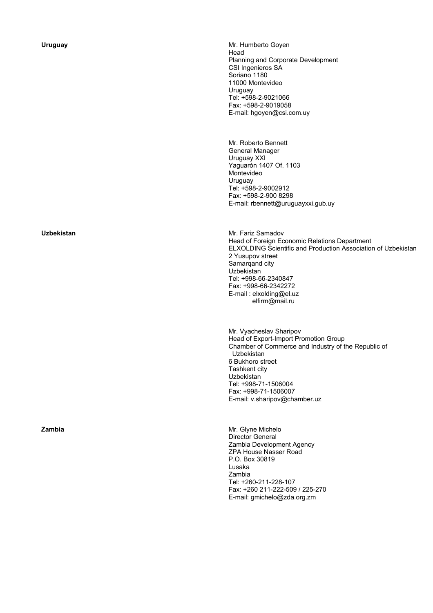**Uruguay Mr. Humberto Goyen** Head Planning and Corporate Development CSI Ingenieros SA Soriano 1180 11000 Montevideo Uruguay Tel: +598-2-9021066 Fax: +598-2-9019058 E-mail: hgoyen@csi.com.uy

> Mr. Roberto Bennett General Manager Uruguay XXI Yaguarón 1407 Of. 1103 Montevideo Uruguay Tel: +598-2-9002912 Fax: +598-2-900 8298 E-mail: rbennett@uruguayxxi.gub.uy

**Uzbekistan** *Mr. Fariz Samadov* Mr. Fariz Samadov Head of Foreign Economic Relations Department ELXOLDING Scientific and Production Association of Uzbekistan 2 Yusupov street Samarqand city Uzbekistan Tel: +998-66-2340847 Fax: +998-66-2342272 E-mail : elxolding@el.uz elfirm@mail.ru

> Mr. Vyacheslav Sharipov Head of Export-Import Promotion Group Chamber of Commerce and Industry of the Republic of Uzbekistan 6 Bukhoro street Tashkent city Uzbekistan Tel: +998-71-1506004 Fax: +998-71-1506007 E-mail: v.sharipov@chamber.uz

**Zambia** Mr. Glyne Michelo Director General Zambia Development Agency ZPA House Nasser Road P.O. Box 30819 Lusaka Zambia Tel: +260-211-228-107 Fax: +260 211-222-509 / 225-270 E-mail: gmichelo@zda.org.zm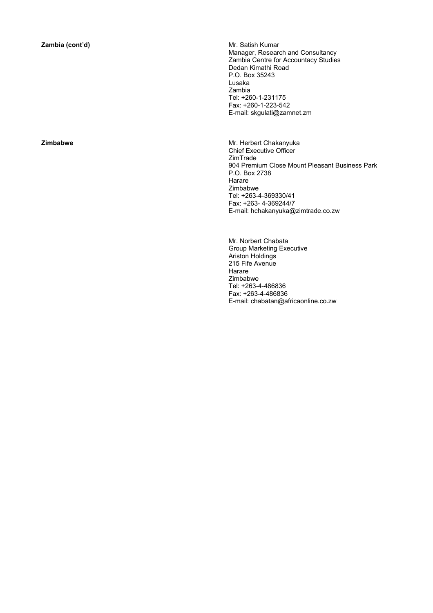**Zambia (cont'd) Mr. Satish Kumar** Manager, Research and Consultancy Zambia Centre for Accountacy Studies Dedan Kimathi Road P.O. Box 35243 Lusaka Zambia Tel: +260-1-231175 Fax: +260-1-223-542 E-mail: skgulati@zamnet.zm

**Zimbabwe Mr. Herbert Chakanyuka** Chief Executive Officer ZimTrade 904 Premium Close Mount Pleasant Business Park P.O. Box 2738 **Harare** Zimbabwe Tel: +263-4-369330/41 Fax: +263- 4-369244/7 E-mail: hchakanyuka@zimtrade.co.zw

> Mr. Norbert Chabata Group Marketing Executive Ariston Holdings 215 Fife Avenue Harare Zimbabwe Tel: +263-4-486836 Fax: +263-4-486836 E-mail: chabatan@africaonline.co.zw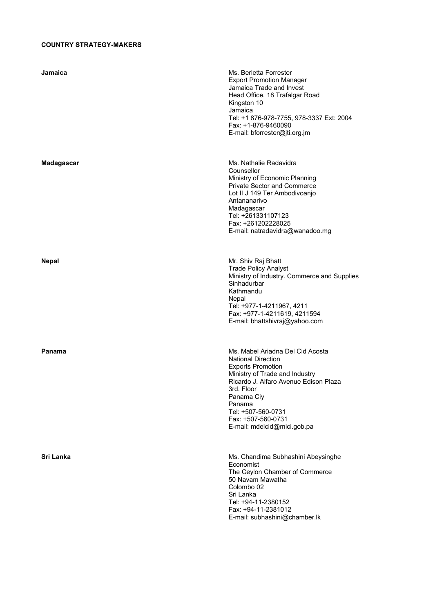## **COUNTRY STRATEGY-MAKERS**

| Jamaica    | Ms. Berletta Forrester<br><b>Export Promotion Manager</b><br>Jamaica Trade and Invest<br>Head Office, 18 Trafalgar Road<br>Kingston 10<br>Jamaica<br>Tel: +1 876-978-7755, 978-3337 Ext: 2004<br>Fax: +1-876-9460090<br>E-mail: bforrester@jti.org.jm                                 |
|------------|---------------------------------------------------------------------------------------------------------------------------------------------------------------------------------------------------------------------------------------------------------------------------------------|
| Madagascar | Ms. Nathalie Radavidra<br>Counsellor<br>Ministry of Economic Planning<br>Private Sector and Commerce<br>Lot II J 149 Ter Ambodivoanjo<br>Antananarivo<br>Madagascar<br>Tel: +261331107123<br>Fax: +261202228025<br>E-mail: natradavidra@wanadoo.mg                                    |
| Nepal      | Mr. Shiv Raj Bhatt<br><b>Trade Policy Analyst</b><br>Ministry of Industry. Commerce and Supplies<br>Sinhadurbar<br>Kathmandu<br>Nepal<br>Tel: +977-1-4211967, 4211<br>Fax: +977-1-4211619, 4211594<br>E-mail: bhattshivraj@yahoo.com                                                  |
| Panama     | Ms. Mabel Ariadna Del Cid Acosta<br><b>National Direction</b><br><b>Exports Promotion</b><br>Ministry of Trade and Industry<br>Ricardo J. Alfaro Avenue Edison Plaza<br>3rd. Floor<br>Panama Ciy<br>Panama<br>Tel: +507-560-0731<br>Fax: +507-560-0731<br>E-mail: mdelcid@mici.gob.pa |
| Sri Lanka  | Ms. Chandima Subhashini Abeysinghe<br>Economist<br>The Ceylon Chamber of Commerce<br>50 Navam Mawatha<br>Colombo <sub>02</sub><br>Sri Lanka<br>Tel: +94-11-2380152<br>Fax: +94-11-2381012<br>E-mail: subhashini@chamber.lk                                                            |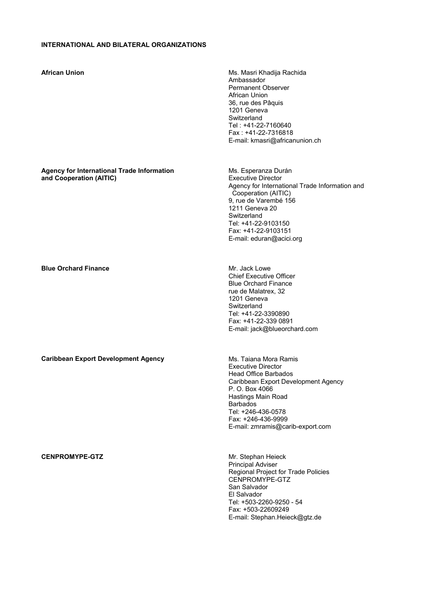## **INTERNATIONAL AND BILATERAL ORGANIZATIONS**

| <b>African Union</b>                                                         | Ms. Masri Khadija Rachida<br>Ambassador<br>Permanent Observer<br>African Union<br>36, rue des Pâquis<br>1201 Geneva<br>Switzerland<br>Tel: +41-22-7160640<br>Fax: +41-22-7316818<br>E-mail: kmasri@africanunion.ch                                            |
|------------------------------------------------------------------------------|---------------------------------------------------------------------------------------------------------------------------------------------------------------------------------------------------------------------------------------------------------------|
| <b>Agency for International Trade Information</b><br>and Cooperation (AITIC) | Ms. Esperanza Durán<br><b>Executive Director</b><br>Agency for International Trade Information and<br>Cooperation (AITIC)<br>9, rue de Varembé 156<br>1211 Geneva 20<br>Switzerland<br>Tel: +41-22-9103150<br>Fax: +41-22-9103151<br>E-mail: eduran@acici.org |
| <b>Blue Orchard Finance</b>                                                  | Mr. Jack Lowe<br><b>Chief Executive Officer</b><br><b>Blue Orchard Finance</b><br>rue de Malatrex, 32<br>1201 Geneva<br>Switzerland<br>Tel: +41-22-3390890<br>Fax: +41-22-339 0891<br>E-mail: jack@blueorchard.com                                            |
| <b>Caribbean Export Development Agency</b>                                   | Ms. Taiana Mora Ramis<br><b>Executive Director</b><br>Head Office Barbados<br>Caribbean Export Development Agency<br>P. O. Box 4066<br>Hastings Main Road<br><b>Barbados</b><br>Tel: +246-436-0578<br>Fax: +246-436-9999<br>E-mail: zmramis@carib-export.com  |
| <b>CENPROMYPE-GTZ</b>                                                        | Mr. Stephan Heieck<br><b>Principal Adviser</b><br>Regional Project for Trade Policies<br>CENPROMYPE-GTZ<br>San Salvador<br>El Salvador<br>Tel: +503-2260-9250 - 54<br>Fax: +503-22609249<br>E-mail: Stephan.Heieck@gtz.de                                     |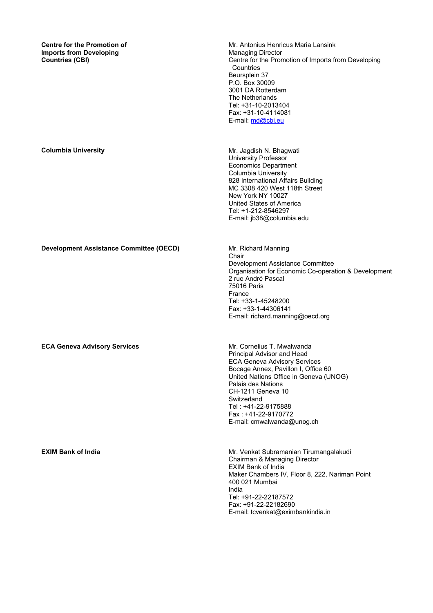**Centre for the Promotion of Imports from Developing Countries (CBI)** 

Mr. Antonius Henricus Maria Lansink Managing Director Centre for the Promotion of Imports from Developing **Countries** Beursplein 37 P.O. Box 30009 3001 DA Rotterdam The Netherlands Tel: +31-10-2013404 Fax: +31-10-4114081 E-mail: md@cbi.eu

**Columbia University Mr. Jagdish N. Bhagwati Mr. Jagdish N. Bhagwati** University Professor Economics Department Columbia University 828 International Affairs Building MC 3308 420 West 118th Street New York NY 10027 United States of America Tel: +1-212-8546297 E-mail: jb38@columbia.edu

**Development Assistance Committee (OECD)** Mr. Richard Manning

**ECA Geneva Advisory Services Mr. Cornelius T. Mwalwanda** 

Chair Development Assistance Committee Organisation for Economic Co-operation & Development 2 rue André Pascal 75016 Paris France Tel: +33-1-45248200 Fax: +33-1-44306141 E-mail: richard.manning@oecd.org

Principal Advisor and Head ECA Geneva Advisory Services Bocage Annex, Pavillon I, Office 60 United Nations Office in Geneva (UNOG) Palais des Nations CH-1211 Geneva 10 **Switzerland** Tel : +41-22-9175888 Fax : +41-22-9170772 E-mail: cmwalwanda@unog.ch

**EXIM Bank of India Mr. Venkat Subramanian Tirumangalakudi Mr. Venkat Subramanian Tirumangalakudi** Chairman & Managing Director EXIM Bank of India Maker Chambers IV, Floor 8, 222, Nariman Point 400 021 Mumbai India Tel: +91-22-22187572 Fax: +91-22-22182690 E-mail: tcvenkat@eximbankindia.in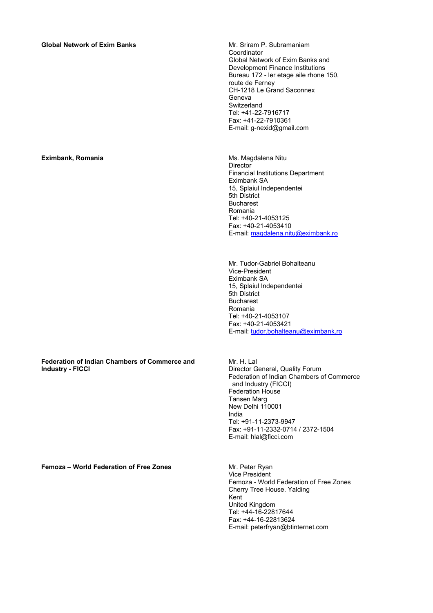### **Global Network of Exim Banks Mr. Sriram P. Subramaniam**

#### **Eximbank, Romania Ms. Magdalena Nitu**

#### **Federation of Indian Chambers of Commerce and Industry - FICCI**

**Femoza – World Federation of Free Zones** Mr. Peter Ryan

Coordinator Global Network of Exim Banks and Development Finance Institutions Bureau 172 - ler etage aile rhone 150, route de Ferney CH-1218 Le Grand Saconnex Geneva Switzerland Tel: +41-22-7916717 Fax: +41-22-7910361 E-mail: g-nexid@gmail.com

**Director** Financial Institutions Department Eximbank SA 15, Splaiul Independentei 5th District Bucharest Romania Tel: +40-21-4053125 Fax: +40-21-4053410 E-mail: magdalena.nitu@eximbank.ro

Mr. Tudor-Gabriel Bohalteanu Vice-President Eximbank SA 15, Splaiul Independentei 5th District Bucharest Romania Tel: +40-21-4053107 Fax: +40-21-4053421 E-mail: tudor.bohalteanu@eximbank.ro

Mr. H. Lal Director General, Quality Forum Federation of Indian Chambers of Commerce and Industry (FICCI) Federation House Tansen Marg New Delhi 110001 India Tel: +91-11-2373-9947 Fax: +91-11-2332-0714 / 2372-1504 E-mail: hlal@ficci.com

Vice President Femoza - World Federation of Free Zones Cherry Tree House. Yalding Kent United Kingdom Tel: +44-16-22817644 Fax: +44-16-22813624 E-mail: peterfryan@btinternet.com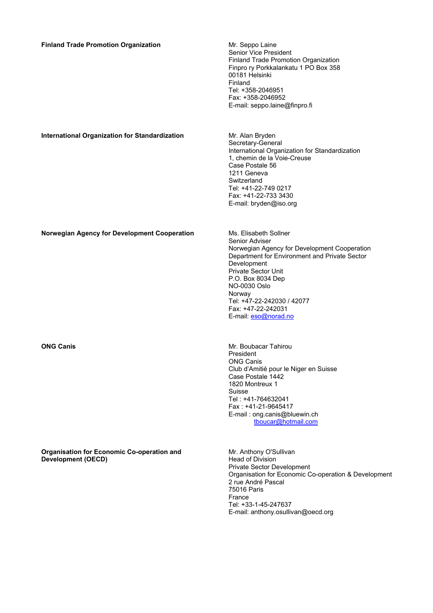| <b>Finland Trade Promotion Organization</b>           | Mr. Seppo Laine<br>Senior Vice President<br>Finland Trade Promotion Organization<br>Finpro ry Porkkalankatu 1 PO Box 358<br>00181 Helsinki<br>Finland<br>Tel: +358-2046951<br>Fax: +358-2046952<br>E-mail: seppo.laine@finpro.fi                                                                                        |
|-------------------------------------------------------|-------------------------------------------------------------------------------------------------------------------------------------------------------------------------------------------------------------------------------------------------------------------------------------------------------------------------|
| <b>International Organization for Standardization</b> | Mr. Alan Bryden<br>Secretary-General<br>International Organization for Standardization<br>1, chemin de la Voie-Creuse<br>Case Postale 56<br>1211 Geneva<br>Switzerland<br>Tel: +41-22-749 0217<br>Fax: +41-22-733 3430<br>E-mail: bryden@iso.org                                                                        |
| Norwegian Agency for Development Cooperation          | Ms. Elisabeth Sollner<br>Senior Adviser<br>Norwegian Agency for Development Cooperation<br>Department for Environment and Private Sector<br>Development<br><b>Private Sector Unit</b><br>P.O. Box 8034 Dep<br><b>NO-0030 Oslo</b><br>Norway<br>Tel: +47-22-242030 / 42077<br>Fax: +47-22-242031<br>E-mail: eso@norad.no |
| <b>ONG Canis</b>                                      | Mr. Boubacar Tahirou<br>President<br><b>ONG Canis</b><br>Club d'Amitié pour le Niger en Suisse<br>Case Postale 1442<br>1820 Montreux 1<br>Suisse<br>Tel: +41-764632041<br>Fax: +41-21-9645417<br>E-mail: ong.canis@bluewin.ch<br>tboucar@hotmail.com                                                                    |

**Organisation for Economic Co-operation and Development (OECD)** 

Mr. Anthony O'Sullivan Head of Division Private Sector Development Organisation for Economic Co-operation & Development 2 rue André Pascal 75016 Paris France Tel: +33-1-45-247637 E-mail: anthony.osullivan@oecd.org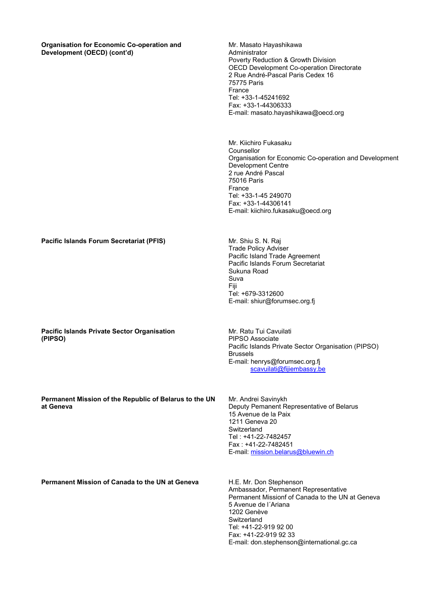### **Organisation for Economic Co-operation and Development (OECD) (cont'd)**

Mr. Masato Hayashikawa Administrator Poverty Reduction & Growth Division OECD Development Co-operation Directorate 2 Rue André-Pascal Paris Cedex 16 75775 Paris France Tel: +33-1-45241692 Fax: +33-1-44306333 E-mail: masato.hayashikawa@oecd.org

Mr. Kiichiro Fukasaku Counsellor Organisation for Economic Co-operation and Development Development Centre 2 rue André Pascal 75016 Paris France Tel: +33-1-45 249070 Fax: +33-1-44306141 E-mail: kiichiro.fukasaku@oecd.org

**Pacific Islands Forum Secretariat (PFIS) <b>Mr. Shiu S. N. Raj** Mr. Shiu S. N. Raj

**Pacific Islands Private Sector Organisation (PIPSO)** 

Mr. Ratu Tui Cavuilati PIPSO Associate Pacific Islands Private Sector Organisation (PIPSO) Brussels E-mail: henrys@forumsec.org.fj scavuilati@fijiembassy.be

Trade Policy Adviser

Tel: +679-3312600

Sukuna Road Suva Fiji

Pacific Island Trade Agreement Pacific Islands Forum Secretariat

E-mail: shiur@forumsec.org.fj

**Permanent Mission of the Republic of Belarus to the UN at Geneva** 

Mr. Andrei Savinykh Deputy Pemanent Representative of Belarus 15 Avenue de la Paix 1211 Geneva 20 **Switzerland** Tel : +41-22-7482457 Fax : +41-22-7482451 E-mail: mission.belarus@bluewin.ch

**Permanent Mission of Canada to the UN at Geneva** H.E. Mr. Don Stephenson

Ambassador, Permanent Representative Permanent Missionf of Canada to the UN at Geneva 5 Avenue de l´Ariana 1202 Genève **Switzerland** Tel: +41-22-919 92 00 Fax: +41-22-919 92 33 E-mail: don.stephenson@international.gc.ca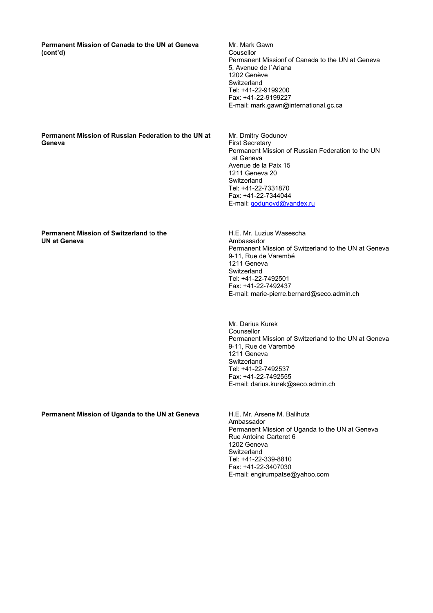**Permanent Mission of Canada to the UN at Geneva (cont'd)** 

Mr. Mark Gawn Cousellor Permanent Missionf of Canada to the UN at Geneva 5, Avenue de l´Ariana 1202 Genève **Switzerland** Tel: +41-22-9199200 Fax: +41-22-9199227 E-mail: mark.gawn@international.gc.ca

### **Permanent Mission of Russian Federation to the UN at Geneva**

Mr. Dmitry Godunov First Secretary Permanent Mission of Russian Federation to the UN at Geneva Avenue de la Paix 15 1211 Geneva 20 Switzerland Tel: +41-22-7331870 Fax: +41-22-7344044 E-mail: godunovd@yandex.ru

### **Permanent Mission of Switzerland** t**o the UN at Geneva**

H.E. Mr. Luzius Wasescha Ambassador Permanent Mission of Switzerland to the UN at Geneva 9-11, Rue de Varembé 1211 Geneva **Switzerland** Tel: +41-22-7492501 Fax: +41-22-7492437 E-mail: marie-pierre.bernard@seco.admin.ch

Mr. Darius Kurek Counsellor Permanent Mission of Switzerland to the UN at Geneva 9-11, Rue de Varembé 1211 Geneva **Switzerland** Tel: +41-22-7492537 Fax: +41-22-7492555 E-mail: darius.kurek@seco.admin.ch

**Permanent Mission of Uganda to the UN at Geneva** H.E. Mr. Arsene M. Balihuta

Ambassador Permanent Mission of Uganda to the UN at Geneva Rue Antoine Carteret 6 1202 Geneva Switzerland Tel: +41-22-339-8810 Fax: +41-22-3407030 E-mail: engirumpatse@yahoo.com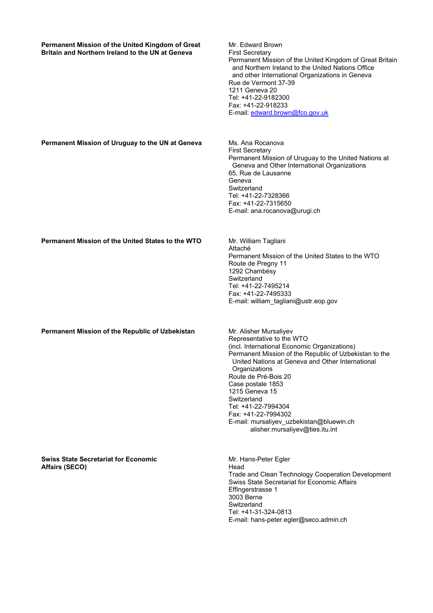| Permanent Mission of the United Kingdom of Great<br>Britain and Northern Ireland to the UN at Geneva | Mr. Edward Brown<br><b>First Secretary</b><br>Permanent Mission of the United Kingdom of Great Britain<br>and Northern Ireland to the United Nations Office<br>and other International Organizations in Geneva<br>Rue de Vermont 37-39<br>1211 Geneva 20<br>Tel: +41-22-9182300<br>Fax: +41-22-918233<br>E-mail: edward.brown@fco.gov.uk                                                                                                      |
|------------------------------------------------------------------------------------------------------|-----------------------------------------------------------------------------------------------------------------------------------------------------------------------------------------------------------------------------------------------------------------------------------------------------------------------------------------------------------------------------------------------------------------------------------------------|
| Permanent Mission of Uruguay to the UN at Geneva                                                     | Ms. Ana Rocanova<br><b>First Secretary</b><br>Permanent Mission of Uruguay to the United Nations at<br>Geneva and Other International Organizations<br>65, Rue de Lausanne<br>Geneva<br>Switzerland<br>Tel: +41-22-7328366<br>Fax: +41-22-7315650<br>E-mail: ana.rocanova@urugi.ch                                                                                                                                                            |
| Permanent Mission of the United States to the WTO                                                    | Mr. William Tagliani<br>Attaché<br>Permanent Mission of the United States to the WTO<br>Route de Pregny 11<br>1292 Chambésy<br>Switzerland<br>Tel: +41-22-7495214<br>Fax: +41-22-7495333<br>E-mail: william_tagliani@ustr.eop.gov                                                                                                                                                                                                             |
| Permanent Mission of the Republic of Uzbekistan                                                      | Mr. Alisher Mursaliyev<br>Representative to the WTO<br>(incl. International Economic Organizations)<br>Permanent Mission of the Republic of Uzbekistan to the<br>United Nations at Geneva and Other International<br>Organizations<br>Route de Pré-Bois 20<br>Case postale 1853<br>1215 Geneva 15<br>Switzerland<br>Tel: +41-22-7994304<br>Fax: +41-22-7994302<br>E-mail: mursaliyev_uzbekistan@bluewin.ch<br>alisher.mursaliyev@ties.itu.int |
| <b>Swiss State Secretariat for Economic</b><br><b>Affairs (SECO)</b>                                 | Mr. Hans-Peter Egler<br>Head<br>Trade and Clean Technology Cooperation Development<br>Swiss State Secretariat for Economic Affairs<br>Effingerstrasse 1<br>3003 Berne<br>Switzerland                                                                                                                                                                                                                                                          |

Tel: +41-31-324-0813

E-mail: hans-peter.egler@seco.admin.ch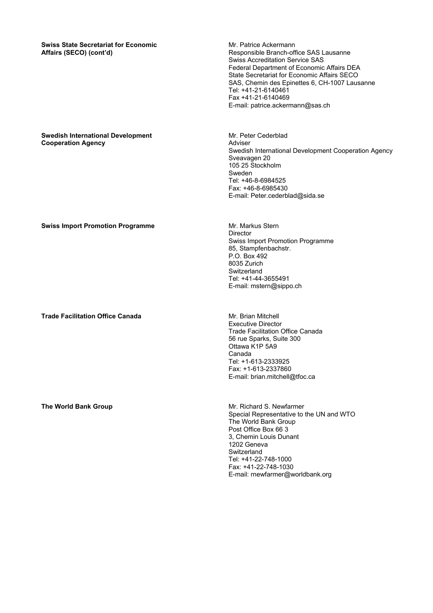**Swiss State Secretariat for Economic Affairs (SECO) (cont'd)**

#### **Swedish International Development Cooperation Agency**

Mr. Patrice Ackermann Responsible Branch-office SAS Lausanne Swiss Accreditation Service SAS Federal Department of Economic Affairs DEA State Secretariat for Economic Affairs SECO SAS, Chemin des Epinettes 6, CH-1007 Lausanne Tel: +41-21-6140461 Fax +41-21-6140469 E-mail: patrice.ackermann@sas.ch

Mr. Peter Cederblad Adviser Swedish International Development Cooperation Agency Sveavagen 20 105 25 Stockholm Sweden Tel: +46-8-6984525 Fax: +46-8-6985430 E-mail: Peter.cederblad@sida.se

### **Director** Swiss Import Promotion Programme 85, Stampfenbachstr. P.O. Box 492 8035 Zurich **Switzerland** Tel: +41-44-3655491 E-mail: mstern@sippo.ch

Executive Director Trade Facilitation Office Canada 56 rue Sparks, Suite 300 Ottawa K1P 5A9 Canada Tel: +1-613-2333925 Fax: +1-613-2337860 E-mail: brian.mitchell@tfoc.ca

**The World Bank Group**  Mr. Richard S. Newfarmer Special Representative to the UN and WTO The World Bank Group Post Office Box 66 3 3, Chemin Louis Dunant 1202 Geneva Switzerland Tel: +41-22-748-1000 Fax: +41-22-748-1030 E-mail: rnewfarmer@worldbank.org

#### **Swiss Import Promotion Programme <b>Access** Mr. Markus Stern

**Trade Facilitation Office Canada Mr. Brian Mitchell Mr. Brian Mitchell**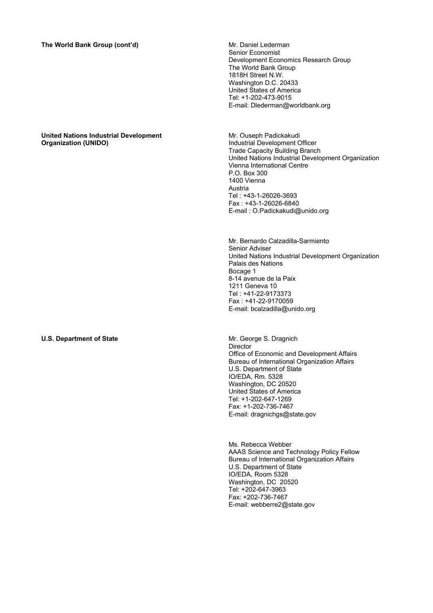### **United Nations Industrial Development Organization (UNIDO)**

Senior Economist Development Economics Research Group The World Bank Group 1818H Street N.W. Washington D.C. 20433 United States of America Tel: +1-202-473-9015 E-mail: Dlederman@worldbank.org

Mr. Ouseph Padickakudi Industrial Development Officer Trade Capacity Building Branch United Nations Industrial Development Organization Vienna International Centre P.O. Box 300 1400 Vienna Austria Tel : +43-1-26026-3693 Fax : +43-1-26026-6840 E-mail : O.Padickakudi@unido.org

Mr. Bernardo Calzadilla-Sarmiento Senior Adviser United Nations Industrial Development Organization Palais des Nations Bocage 1 8-14 avenue de la Paix 1211 Geneva 10 Tel : +41-22-9173373 Fax : +41-22-9170059 E-mail: bcalzadilla@unido.org

#### **U.S. Department of State Mr. George S. Dragnich Mr. George S. Dragnich** Director Office of Economic and Development Affairs Bureau of International Organization Affairs U.S. Department of State IO/EDA, Rm. 5328 Washington, DC 20520 United States of America Tel: +1-202-647-1269 Fax: +1-202-736-7467 E-mail: dragnichgs@state.gov

Ms. Rebecca Webber AAAS Science and Technology Policy Fellow Bureau of International Organization Affairs U.S. Department of State IO/EDA, Room 5328 Washington, DC 20520 Tel: +202-647-3963 Fax: +202-736-7467 E-mail: webberre2@state.gov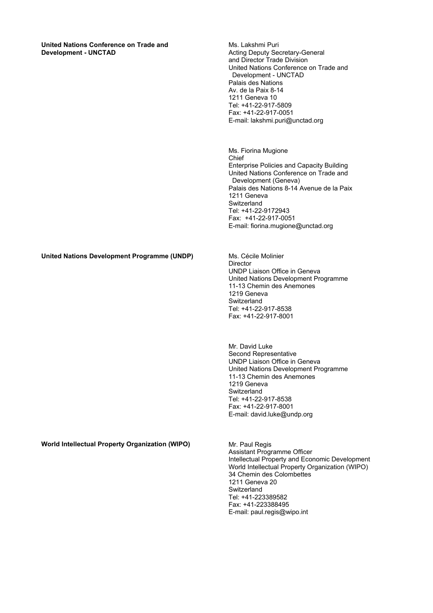**United Nations Conference on Trade and Development - UNCTAD** 

Ms. Lakshmi Puri Acting Deputy Secretary-General and Director Trade Division United Nations Conference on Trade and Development - UNCTAD Palais des Nations Av. de la Paix 8-14 1211 Geneva 10 Tel: +41-22-917-5809 Fax: +41-22-917-0051 E-mail: lakshmi.puri@unctad.org

Ms. Fiorina Mugione Chief Enterprise Policies and Capacity Building United Nations Conference on Trade and Development (Geneva) Palais des Nations 8-14 Avenue de la Paix 1211 Geneva Switzerland Tel: +41-22-9172943 Fax: +41-22-917-0051 E-mail: fiorina.mugione@unctad.org

### **United Nations Development Programme (UNDP)** Ms. Cécile Molinier

**Director** UNDP Liaison Office in Geneva United Nations Development Programme 11-13 Chemin des Anemones 1219 Geneva **Switzerland** Tel: +41-22-917-8538 Fax: +41-22-917-8001

Mr. David Luke Second Representative UNDP Liaison Office in Geneva United Nations Development Programme 11-13 Chemin des Anemones 1219 Geneva Switzerland Tel: +41-22-917-8538 Fax: +41-22-917-8001 E-mail: david.luke@undp.org

**World Intellectual Property Organization (WIPO)** Mr. Paul Regis

Assistant Programme Officer Intellectual Property and Economic Development World Intellectual Property Organization (WIPO) 34 Chemin des Colombettes 1211 Geneva 20 **Switzerland** Tel: +41-223389582 Fax: +41-223388495 E-mail: paul.regis@wipo.int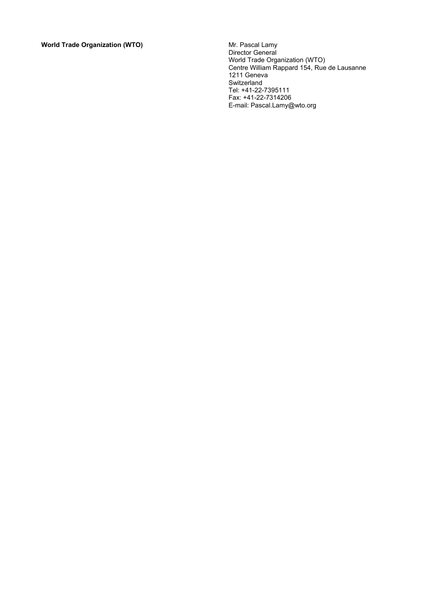**World Trade Organization (WTO)** 

Director General World Trade Organization (WTO) Centre William Rappard 154, Rue de Lausanne 1211 Geneva Switzerland Tel: +41-22-7395111 Fax: +41-22-7314206 E-mail: Pascal.Lamy@wto.org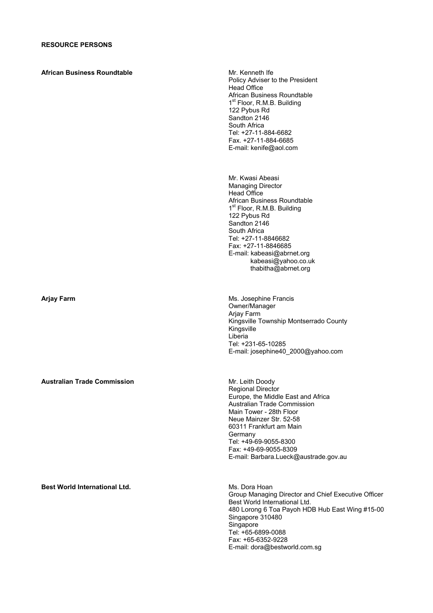**African Business Roundtable Mr. Kenneth Ife** 

Policy Adviser to the President Head Office African Business Roundtable 1<sup>st</sup> Floor, R.M.B. Building 122 Pybus Rd Sandton 2146 South Africa Tel: +27-11-884-6682 Fax. +27-11-884-6685 E-mail: kenife@aol.com

Mr. Kwasi Abeasi Managing Director Head Office African Business Roundtable 1<sup>st</sup> Floor, R.M.B. Building 122 Pybus Rd Sandton 2146 South Africa Tel: +27-11-8846682 Fax: +27-11-8846685 E-mail: kabeasi@abrnet.org kabeasi@yahoo.co.uk thabitha@abrnet.org

**Arjay Farm Ms.** Josephine Francis Owner/Manager Arjay Farm Kingsville Township Montserrado County Kingsville Liberia Tel: +231-65-10285 E-mail: josephine40\_2000@yahoo.com

**Australian Trade Commission Mr. Leith Doody** Regional Director Europe, the Middle East and Africa Australian Trade Commission Main Tower - 28th Floor Neue Mainzer Str. 52-58 60311 Frankfurt am Main Germany Tel: +49-69-9055-8300 Fax: +49-69-9055-8309 E-mail: Barbara.Lueck@austrade.gov.au

**Best World International Ltd. Ms. Dora Hoan** 

Group Managing Director and Chief Executive Officer Best World International Ltd. 480 Lorong 6 Toa Payoh HDB Hub East Wing #15-00 Singapore 310480 Singapore Tel: +65-6899-0088 Fax: +65-6352-9228 E-mail: dora@bestworld.com.sg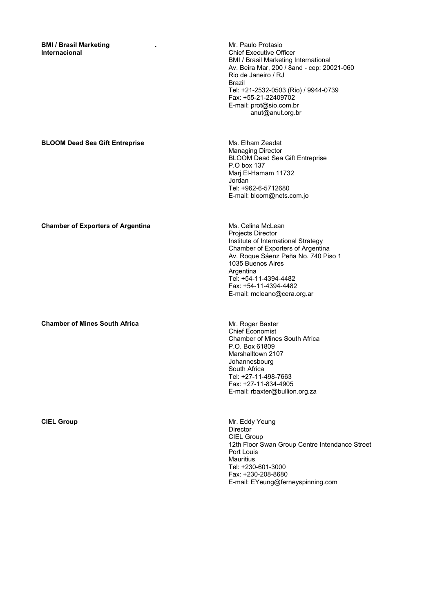**BMI / Brasil Marketing Internacional** 

**.** Mr. Paulo Protasio Chief Executive Officer BMI / Brasil Marketing International Av. Beira Mar, 200 / 8and - cep: 20021-060 Rio de Janeiro / RJ Brazil Tel: +21-2532-0503 (Rio) / 9944-0739 Fax: +55-21-22409702 E-mail: prot@sio.com.br anut@anut.org.br

Managing Director

Marj El-Hamam 11732

Tel: +962-6-5712680 E-mail: bloom@nets.com.jo

P.O box 137

Jordan

BLOOM Dead Sea Gift Entreprise

### **BLOOM Dead Sea Gift Entreprise**  Ms. Elham Zeadat

**Chamber of Exporters of Argentina** Ms. Celina McLean

**Chamber of Mines South Africa Mr. Roger Baxter** Mr. Roger Baxter

Projects Director Institute of International Strategy Chamber of Exporters of Argentina Av. Roque Sáenz Peña No. 740 Piso 1 1035 Buenos Aires Argentina Tel: +54-11-4394-4482 Fax: +54-11-4394-4482 E-mail: mcleanc@cera.org.ar

Chief Economist Chamber of Mines South Africa P.O. Box 61809 Marshalltown 2107 Johannesbourg South Africa Tel: +27-11-498-7663 Fax: +27-11-834-4905 E-mail: rbaxter@bullion.org.za

**CIEL Group** Mr. Eddy Yeung Director CIEL Group 12th Floor Swan Group Centre Intendance Street Port Louis **Mauritius** Tel: +230-601-3000 Fax: +230-208-8680 E-mail: EYeung@ferneyspinning.com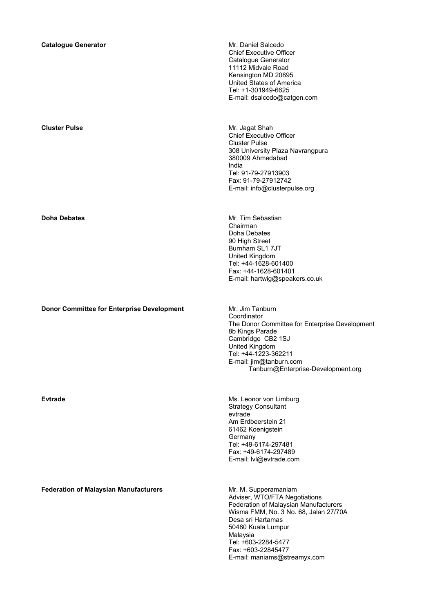**Catalogue Generator Catalogue Generator Mr. Daniel Salcedo** Chief Executive Officer Catalogue Generator 11112 Midvale Road Kensington MD 20895 United States of America Tel: +1-301949-6625 E-mail: dsalcedo@catgen.com **Cluster Pulse Mr. Jagat Shah** Chief Executive Officer Cluster Pulse 308 University Plaza Navrangpura 380009 Ahmedabad India Tel: 91-79-27913903 Fax: 91-79-27912742 E-mail: info@clusterpulse.org **Doha Debates Mr. Tim Sebastian** Chairman Doha Debates 90 High Street Burnham SL1 7JT United Kingdom Tel: +44-1628-601400 Fax: +44-1628-601401 E-mail: hartwig@speakers.co.uk **Donor Committee for Enterprise Development** Mr. Jim Tanburn **Coordinator** The Donor Committee for Enterprise Development 8b Kings Parade Cambridge CB2 1SJ United Kingdom Tel: +44-1223-362211 E-mail: jim@tanburn.com Tanburn@Enterprise-Development.org **Evtrade Extrade Ms. Leonor von Limburg** Strategy Consultant evtrade Am Erdbeerstein 21 61462 Koenigstein Germany Tel: +49-6174-297481 Fax: +49-6174-297489 E-mail: lvl@evtrade.com **Federation of Malaysian Manufacturers** Mr. M. Supperamaniam Adviser, WTO/FTA Negotiations Federation of Malaysian Manufacturers Wisma FMM, No. 3 No. 68, Jalan 27/70A Desa sri Hartamas 50480 Kuala Lumpur Malaysia Tel: +603-2284-5477 Fax: +603-22845477 E-mail: maniams@streamyx.com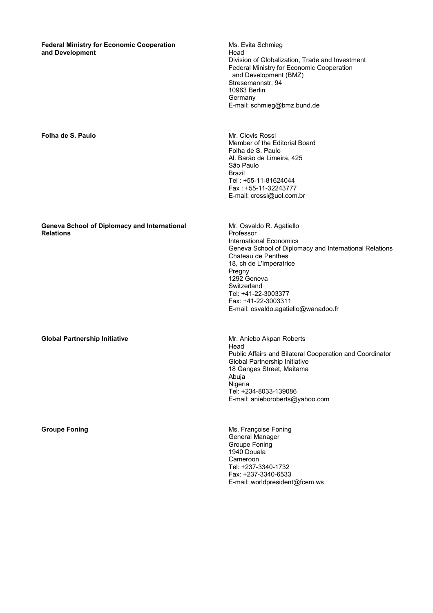**Federal Ministry for Economic Cooperation and Development**

**Folha de S. Paulo** Mr. Clovis Rossi

**Geneva School of Diplomacy and International Relations** 

**Global Partnership Initiative Mr. Aniebo Akpan Roberts Clobal Partnership Initiative** 

Ms. Evita Schmieg Head Division of Globalization, Trade and Investment Federal Ministry for Economic Cooperation and Development (BMZ) Stresemannstr. 94 10963 Berlin Germany E-mail: schmieg@bmz.bund.de

Member of the Editorial Board Folha de S. Paulo Al. Barão de Limeira, 425 São Paulo Brazil Tel : +55-11-81624044 Fax : +55-11-32243777 E-mail: crossi@uol.com.br

Mr. Osvaldo R. Agatiello Professor International Economics Geneva School of Diplomacy and International Relations Chateau de Penthes 18, ch de L'Imperatrice Pregny 1292 Geneva **Switzerland** Tel: +41-22-3003377 Fax: +41-22-3003311 E-mail: osvaldo.agatiello@wanadoo.fr

Head Public Affairs and Bilateral Cooperation and Coordinator Global Partnership Initiative 18 Ganges Street, Maitama Abuja Nigeria Tel: +234-8033-139086 E-mail: anieboroberts@yahoo.com

**Groupe Foning Group Foning Ms.** Françoise Foning General Manager Groupe Foning 1940 Douala Cameroon Tel: +237-3340-1732 Fax: +237-3340-6533 E-mail: worldpresident@fcem.ws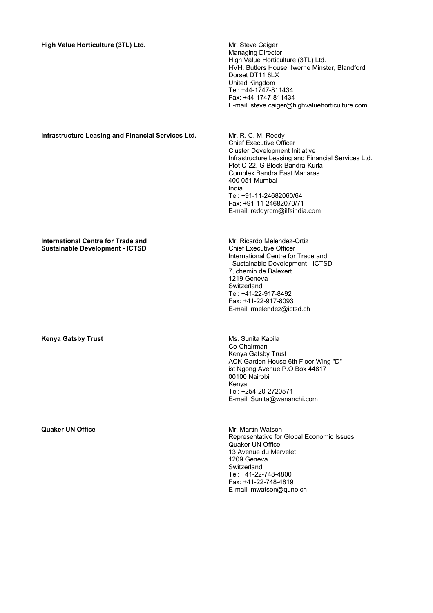### High Value Horticulture (3TL) Ltd. **Michael Accord Accord Manual Accord Michael Accord Michael Accord Michael Accord Michael Accord Michael Accord Michael Accord Michael Accord Michael Accord Michael Accord Michael Accord**

Managing Director High Value Horticulture (3TL) Ltd. HVH, Butlers House, Iwerne Minster, Blandford Dorset DT11 8LX United Kingdom Tel: +44-1747-811434 Fax: +44-1747-811434 E-mail: steve.caiger@highvaluehorticulture.com

### **Infrastructure Leasing and Financial Services Ltd.** Mr. R. C. M. Reddy

Chief Executive Officer Cluster Development Initiative Infrastructure Leasing and Financial Services Ltd. Plot C-22, G Block Bandra-Kurla Complex Bandra East Maharas 400 051 Mumbai India Tel: +91-11-24682060/64 Fax: +91-11-24682070/71 E-mail: reddyrcm@ilfsindia.com

#### **International Centre for Trade and Sustainable Development - ICTSD**

**Kenya Gatsby Trust** Ms. Sunita Kapila

**Quaker UN Office**  Mr. Martin Watson

Mr. Ricardo Melendez-Ortiz Chief Executive Officer International Centre for Trade and Sustainable Development - ICTSD 7, chemin de Balexert 1219 Geneva **Switzerland** Tel: +41-22-917-8492 Fax: +41-22-917-8093 E-mail: rmelendez@ictsd.ch

Co-Chairman Kenya Gatsby Trust ACK Garden House 6th Floor Wing "D" ist Ngong Avenue P.O Box 44817 00100 Nairobi Kenya Tel: +254-20-2720571 E-mail: Sunita@wananchi.com

Representative for Global Economic Issues Quaker UN Office 13 Avenue du Mervelet 1209 Geneva **Switzerland** Tel: +41-22-748-4800 Fax: +41-22-748-4819 E-mail: mwatson@quno.ch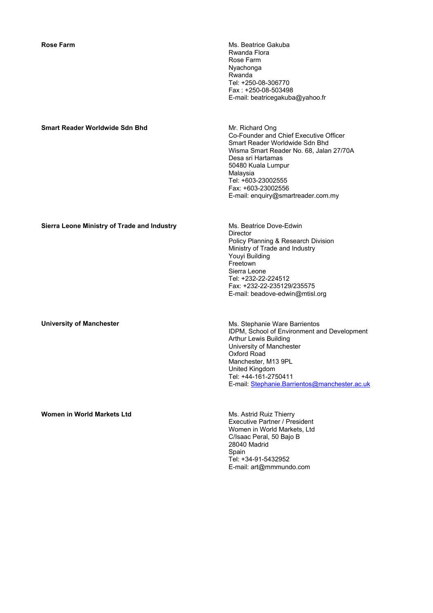**Smart Reader Worldwide Sdn Bhd <br>Mr. Richard Ong** 

**Rose Farm Ms. Beatrice Gakuba** Rwanda Flora Rose Farm Nyachonga Rwanda Tel: +250-08-306770 Fax : +250-08-503498 E-mail: beatricegakuba@yahoo.fr

> Co-Founder and Chief Executive Officer Smart Reader Worldwide Sdn Bhd Wisma Smart Reader No. 68, Jalan 27/70A Desa sri Hartamas 50480 Kuala Lumpur Malaysia Tel: +603-23002555 Fax: +603-23002556 E-mail: enquiry@smartreader.com.my

### **Sierra Leone Ministry of Trade and Industry Michael Manual Ms. Beatrice Dove-Edwin**

**Women in World Markets Ltd** Ms. Astrid Ruiz Thierry

**Director** Policy Planning & Research Division Ministry of Trade and Industry Youyi Building Freetown Sierra Leone Tel: +232-22-224512 Fax: +232-22-235129/235575 E-mail: beadove-edwin@mtisl.org

**University of Manchester <b>Manchester Manchester** Ms. Stephanie Ware Barrientos IDPM, School of Environment and Development Arthur Lewis Building University of Manchester Oxford Road Manchester, M13 9PL United Kingdom Tel: +44-161-2750411 E-mail: Stephanie.Barrientos@manchester.ac.uk

> Executive Partner / President Women in World Markets, Ltd C/Isaac Peral, 50 Bajo B 28040 Madrid **Spain** Tel: +34-91-5432952 E-mail: art@mmmundo.com